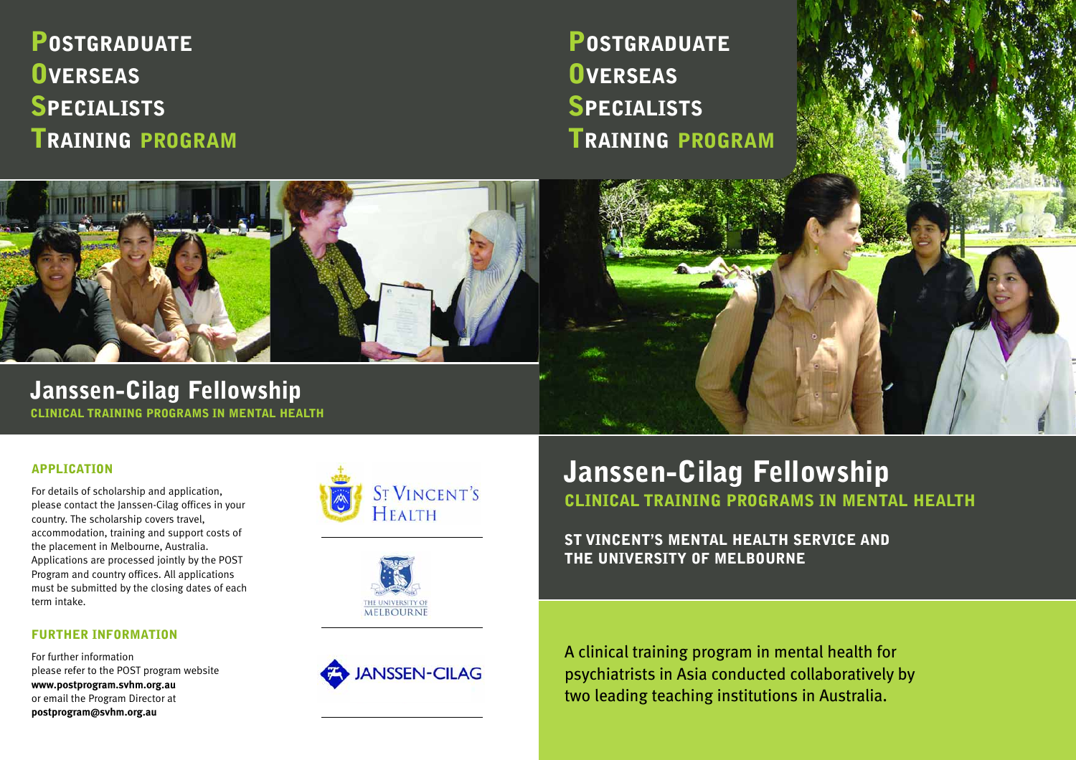# **POSTGRADUATE OVERSEAS SPECIALISTS TRAINING PROGRAM**

**POSTGRADUATE OVERSEAS SPECIALISTS TRAINING PROGRAM**



**Janssen-Cilag Fellowship CLINICAL TRAINING PROGRAMS IN MENTAL HEALTH**

# **APPLICATION**

For details of scholarship and application, please contact the Janssen-Cilag offices in your country. The scholarship covers travel, accommodation, training and support costs of the placement in Melbourne, Australia. Applications are processed jointly by the POST Program and country offices. All applications must be submitted by the closing dates of each term intake.

# **FURTHER INFORMATION**

For further information please refer to the POST program website **www.postprogram.svhm.org.au** or email the Program Director at **postprogram@svhm.org.au**





**ANSSEN-CILAG** 

# **Janssen-Cilag Fellowship CLINICAL TRAINING PROGRAMS IN MENTAL HEALTH**

**ST VINCENT'S MENTAL HEALTH SERVICE AND THE UNIVERSITY OF MELBOURNE**

A clinical training program in mental health for psychiatrists in Asia conducted collaboratively by two leading teaching institutions in Australia.